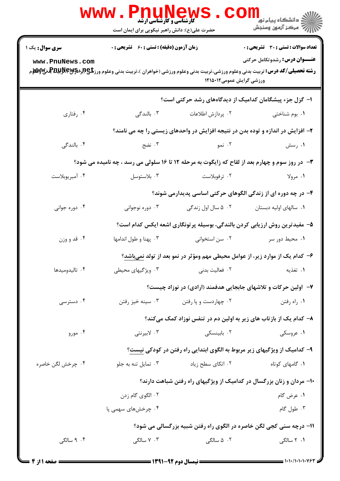| www.PnuNews<br>ر دانشگاه پیام نور<br>۱۳۸۰ -<br>۱۳۸۱ - مرکز آزمون وسنجش<br><b>5 کارشناسی و کارشناسی ارشد</b> |                                                                    |                                                    |                                                                                                                                                                                                                                                                                           |  |  |
|-------------------------------------------------------------------------------------------------------------|--------------------------------------------------------------------|----------------------------------------------------|-------------------------------------------------------------------------------------------------------------------------------------------------------------------------------------------------------------------------------------------------------------------------------------------|--|--|
|                                                                                                             | حضرت علی(ع): دانش راهبر نیکویی برای ایمان است                      |                                                    |                                                                                                                                                                                                                                                                                           |  |  |
| <b>سری سوال :</b> یک ۱                                                                                      |                                                                    | <b>زمان آزمون (دقیقه) : تستی : 60 ٪ تشریحی : 0</b> |                                                                                                                                                                                                                                                                                           |  |  |
| www.PnuNews.com                                                                                             |                                                                    | ورزشی گرایش عمومی۱۲۱۵۰۱۲                           | <b>عنـــوان درس:</b> رشدوتکامل حرکتی<br><b>رشته تحصیلی/کد درس:</b> تربیت بدنی وعلوم ورزشی،تربیت بدنی وعلوم ورزشی (خواهران )،تربیت بدنی وعلوم ورز <b>شگی(لپرلاپرلاپرلاپرلاپرلاپرلاپرلاپر</b><br>مسته ت <b>حصیلی/کد درس:</b> تربیت بدنی وعلوم ورزشی،تربیت بدنی وعلوم ورزشی (خواهران )،تربیت |  |  |
|                                                                                                             | ا– گزل جزء پیشگامان کدامیک از دیدگاههای رشد حرکتی است؟             |                                                    |                                                                                                                                                                                                                                                                                           |  |  |
| ۰۴ رفتاري                                                                                                   | ا بالندگی $\cdot$                                                  | ۰۲ پردازش اطلاعات                                  | ۰۱ بوم شناختی                                                                                                                                                                                                                                                                             |  |  |
|                                                                                                             |                                                                    |                                                    | ۲- افزایش در اندازه و توده بدن در نتیجه افزایش در واحدهای زیستی را چه می نامند؟                                                                                                                                                                                                           |  |  |
| ۰۴ بالندگی                                                                                                  | ۰۳ نضج                                                             | ۰۲ نمو                                             | ۰۱ رسش                                                                                                                                                                                                                                                                                    |  |  |
| <b>۳</b> - در روز سوم و چهارم بعد از لقاح که زایگوت به مرحله ۱۲ تا ۱۶ سلولی می رسد ، چه نامیده می شود؟      |                                                                    |                                                    |                                                                                                                                                                                                                                                                                           |  |  |
| ۰۴ آمبريوبلاست                                                                                              | ۰۳ بلاستوسل                                                        | ۰۲ ترفوبلاست                                       | ۱. مرولا                                                                                                                                                                                                                                                                                  |  |  |
|                                                                                                             |                                                                    |                                                    | ۴- در چه دوره ای از زندگی الگوهای حرکتی اساسی پدیدارمی شوند؟                                                                                                                                                                                                                              |  |  |
| ۰۴ دوره جوانی                                                                                               | ۰۳ دوره نوجوانی                                                    | ۰۲ ۵ سال اول زندگی                                 | ۰۱ سالهای اولیه دبستان                                                                                                                                                                                                                                                                    |  |  |
|                                                                                                             |                                                                    |                                                    | ۵– مفیدترین روش ارزیابی کردن بالندگی، بوسیله پرتونگاری اشعه ایکس کدام است؟                                                                                                                                                                                                                |  |  |
| ۰۴ قد و وزن                                                                                                 | ۰۳ پهنا و طول اندامها                                              | ۰۲ سن استخوانی                                     | ۰۱ محیط دور سر                                                                                                                                                                                                                                                                            |  |  |
|                                                                                                             |                                                                    |                                                    | ۶- کدام یک از موارد زیر، از عوامل محیطی مهم ومؤثر در نمو بعد از تولد نمیباشد؟                                                                                                                                                                                                             |  |  |
| ۰۴ تاليدوميدها                                                                                              | ۰۳ ویژگیهای محیطی                                                  | ٢. فعاليت بدني                                     | ٠١ تغذيه                                                                                                                                                                                                                                                                                  |  |  |
|                                                                                                             |                                                                    |                                                    | ۷- اولین حرکات و تلاشهای جابجایی هدفمند (ارادی) در نوزاد چیست؟                                                                                                                                                                                                                            |  |  |
| ۰۴ دسترسی                                                                                                   | ۰۳ سينه خيز رفتن                                                   | ۰۲ چهاردست و پا رفتن                               | ۰۱ راه رفتن                                                                                                                                                                                                                                                                               |  |  |
|                                                                                                             |                                                                    |                                                    | ۸– کدام یک از بازتاب های زیر به اولین دم در تنفس نوزاد کمک میکند؟                                                                                                                                                                                                                         |  |  |
| ۰۴ مورو                                                                                                     | ۰۳ لابیرنتی                                                        | ۰۲ بابینسکی                                        | ۰۱ عروسکی                                                                                                                                                                                                                                                                                 |  |  |
|                                                                                                             |                                                                    |                                                    | ۹– کدامیک از ویژگیهای زیر مربوط به الگوی ابتدایی راه رفتن در کودکی نیست؟                                                                                                                                                                                                                  |  |  |
| ۰۴ چرخش لگن خاصره                                                                                           | ۰۳ تمایل تنه به جلو                                                | ۰۲ اتکای سطح زیاد                                  | ۰۱ گامهای کوتاه                                                                                                                                                                                                                                                                           |  |  |
|                                                                                                             |                                                                    |                                                    | ۱۰- مردان و زنان بزرگسال در کدامیک از ویژگیهای راه رفتن شباهت دارند؟                                                                                                                                                                                                                      |  |  |
|                                                                                                             | ۰۲ الگوی گام زدن                                                   |                                                    | ۰۱ عرض گام                                                                                                                                                                                                                                                                                |  |  |
|                                                                                                             | ۰۴ چرخشهای سهمی پا                                                 |                                                    | ۰۳ طول گام                                                                                                                                                                                                                                                                                |  |  |
|                                                                                                             | 1۱- درچه سنی کجی لگن خاصره در الگوی راه رفتن شبیه بزرگسالی می شود؟ |                                                    |                                                                                                                                                                                                                                                                                           |  |  |
| ۰۴ سالگی                                                                                                    | ۰۳ سالگی                                                           | ۰۲ ۵ سالگی                                         | ۰۱ ۲ سالگی                                                                                                                                                                                                                                                                                |  |  |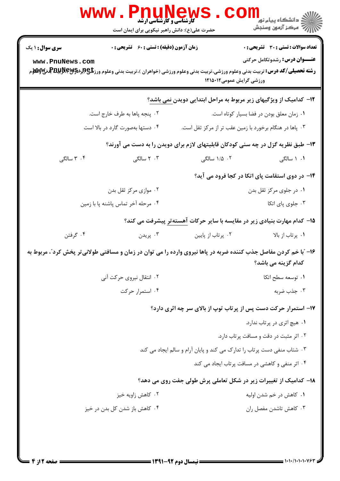|                                    | <b>WWW</b><br>Phunew<br><b>گارشناسی و کارشناسی ارشد</b><br>حضرت علی(ع): دانش راهبر نیکویی برای ایمان است         |                                                                         | الان دانشگاه پيام نور <mark></mark><br>۱۳۸۸ مرکز آزمون وسنجش                             |
|------------------------------------|------------------------------------------------------------------------------------------------------------------|-------------------------------------------------------------------------|------------------------------------------------------------------------------------------|
| <b>سری سوال : ۱ یک</b>             | <b>زمان آزمون (دقیقه) : تستی : 60 ٪ تشریحی : 0</b>                                                               |                                                                         | <b>تعداد سوالات : تستی : 30 ٪ تشریحی : 0</b>                                             |
| www.PnuNews.com                    |                                                                                                                  | ورزشی گرایش عمومی۱۲۱۵۰۱۲                                                | <b>عنـــوان درس:</b> رشدوتکامل حرکتی                                                     |
|                                    |                                                                                                                  |                                                                         | ۱۲- کدامیک از ویژگیهای زیر مربوط به مراحل ابتدایی دویدن نمی باشد؟                        |
|                                    | ٢. پنجه پاها به طرف خارج است.                                                                                    |                                                                         | ٠١ زمان معلق بودن در فضا بسيار كوتاه است.                                                |
|                                    | ۰۴ دستها بهصورت گارد در بالا است                                                                                 |                                                                         | ۰۳ پاها در هنگام برخورد با زمین عقب تر از مرکز ثقل است.                                  |
|                                    |                                                                                                                  |                                                                         | ۱۳- طبق نظریه گزل در چه سنی کودکان قابلیتهای لازم برای دویدن را به دست می آورند؟         |
| ۰۴ سالگی                           | ۰۳ سالگی                                                                                                         | ۰۲ ۱/۵ سالگی                                                            | ۰۱ سالگی                                                                                 |
|                                    |                                                                                                                  |                                                                         | ۱۴- در دوی استقامت پای اتکا در کجا فرود می آید؟                                          |
|                                    | ۰۲ موازی مرکز ثقل بدن                                                                                            |                                                                         | ۰۱ در جلوی مرکز ثقل بدن                                                                  |
| ۰۴ مرحله آخر تماس پاشنه پا با زمین |                                                                                                                  | ۰۳ جلوی پای اتکا                                                        |                                                                                          |
|                                    |                                                                                                                  |                                                                         | <b>۱۵</b> – کدام مهارت بنیادی زیر در مقایسه با سایر حرکات <u>آهسته تر</u> پیشرفت می کند؟ |
| ۰۴ گرفتن                           | ۰۳ پريدن                                                                                                         | ۰۲ پرتاب از پایین                                                       | ۰۱ پرتاب از بالا                                                                         |
|                                    | ۱۶- آبا خم کردن مفاصل جذب کننده ضربه در پاها نیروی وارده را می توان در زمان و مسافتی طولانیتر پخش کرد"، مربوط به |                                                                         | کدام گزینه می باشد؟                                                                      |
|                                    | ۰۲ انتقال نیروی حرکت آنی                                                                                         | ۰۱ توسعه سطح اتکا                                                       |                                                                                          |
| ۰۴ استمرار حرکت                    |                                                                                                                  | ۰۳ جذب ضربه                                                             |                                                                                          |
|                                    |                                                                                                                  |                                                                         | ۱۷- استمرار حرکت دست پس از پرتاب توپ از بالای سر چه اثری دارد؟                           |
|                                    |                                                                                                                  |                                                                         | ۰۱ هیچ اثری در پرتاب ندارد.                                                              |
|                                    |                                                                                                                  |                                                                         | ۰۲ اثر مثبت در دقت و مسافت پرتاب دارد.                                                   |
|                                    |                                                                                                                  | ۰۳ شتاب منفی دست پرتاب را تدارک می کند و پایان آرام و سالم ایجاد می کند |                                                                                          |
|                                    |                                                                                                                  |                                                                         | ۰۴ اثر منفی و کاهشی در مسافت پرتاب ایجاد می کند                                          |
|                                    |                                                                                                                  |                                                                         | ۱۸– کدامیک از تغییرات زیر در شکل تعاملی پرش طولی جفت روی می دهد؟                         |
|                                    | ۰۲ کاهش زاویه خیز                                                                                                |                                                                         | ۰۱ کاهش در خم شدن اولیه                                                                  |
| ۰۴ کاهش باز شدن کل بدن در خیز      |                                                                                                                  |                                                                         | ۰۳ کاهش تاشدن مفصل ران                                                                   |
|                                    |                                                                                                                  |                                                                         |                                                                                          |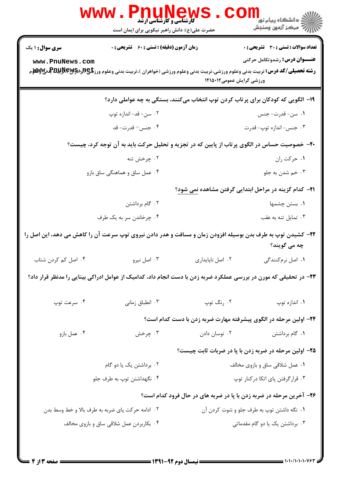|                                                                                                                             | <b>www</b> .<br><b>کارشناسی و کارشناسی ارشد</b><br>حضرت علی(ع): دانش راهبر نیکویی برای ایمان است                  |                                           | ڪ دانشڪاه پيام نور ■<br>// مرکز آزمون وسنجش                         |  |  |
|-----------------------------------------------------------------------------------------------------------------------------|-------------------------------------------------------------------------------------------------------------------|-------------------------------------------|---------------------------------------------------------------------|--|--|
| <b>سری سوال : ۱ یک</b>                                                                                                      | <b>زمان آزمون (دقیقه) : تستی : 60 ٪ تشریحی : 0</b>                                                                |                                           | <b>تعداد سوالات : تستی : 30 ٪ تشریحی : 0</b>                        |  |  |
| www.PnuNews.com                                                                                                             |                                                                                                                   | ورزشی گرایش عمومی۱۲۱۵۰۱۲                  | <b>عنـــوان درس:</b> رشدوتکامل حرکتی                                |  |  |
|                                                                                                                             | ۱۹- الگویی که کودکان برای پرتاب کردن توپ انتخاب میکنند، بستگی به چه عواملی دارد؟                                  |                                           |                                                                     |  |  |
|                                                                                                                             | ۰۲ سن- قد- اندازه توپ                                                                                             |                                           | ۰۱ سن- قدرت- جنس                                                    |  |  |
|                                                                                                                             | ۰۴ جنس–قدرت-قد                                                                                                    |                                           | ۰۳ جنس- اندازه توپ- قدرت                                            |  |  |
|                                                                                                                             | +۲- خصوصیت حساس در الگوی پر تاب از پایین که در تجزیه و تحلیل حرکت باید به آن توجه کرد، چیست؟                      |                                           |                                                                     |  |  |
|                                                                                                                             | ۰۲ چرخش تنه                                                                                                       |                                           | ٠١ حركت ران                                                         |  |  |
|                                                                                                                             | ۰۴ عمل ساق و هماهنگی ساق بازو                                                                                     |                                           | ۰۳ خم شدن به جلو                                                    |  |  |
|                                                                                                                             | <b>۲۱</b> – کدام گزینه در مراحل ابتدایی گرفتن مشاهده نمی شود؟                                                     |                                           |                                                                     |  |  |
|                                                                                                                             | ۰۲ گام برداشتن                                                                                                    |                                           | ۰۱ بستن چشمها                                                       |  |  |
|                                                                                                                             | ۰۴ چرخاندن سر به یک طرف                                                                                           |                                           | ۰۳ تمایل تنه به عقب                                                 |  |  |
| ۲۲– کشیدن توپ به طرف بدن بوسیله افزودن زمان و مسافت و هدر دادن نیروی توپ سرعت آن را کاهش می دهد، این اصل را<br>چه می گویند؟ |                                                                                                                   |                                           |                                                                     |  |  |
| ۰۴ اصل کم کردن شتاب                                                                                                         | ۰۳ اصل نیرو                                                                                                       | ٠٢ اصل ناپايدارى                          | ۰۱ اصل نرم کنندگی                                                   |  |  |
|                                                                                                                             | ۲۳- در تحقیقی که مورن در بررسی عملکرد ضربه زدن با دست انجام داد، کدامیک از عوامل ادراکی بینایی را مدنظر قرار داد؟ |                                           |                                                                     |  |  |
| ۰۴ سرعت توپ                                                                                                                 | ۰۳ انطباق زمانی                                                                                                   | ۰۲ رنگ توپ                                | ۰۱ اندازه توپ                                                       |  |  |
|                                                                                                                             |                                                                                                                   |                                           | ۲۴- اولین مرحله در الگوی پیشرفته مهارت ضربه زدن با دست کدام است؟    |  |  |
| ۰۴ عمل بازو                                                                                                                 | ۰۳ چرخش                                                                                                           | ۰۲ نوسان دادن                             | ۰۱ گام برداشتن                                                      |  |  |
|                                                                                                                             |                                                                                                                   |                                           | ۲۵– اولین مرحله در ضربه زدن با پا در ضربات ثابت چیست؟               |  |  |
|                                                                                                                             | ۰۲ برداشتن یک یا دو گام                                                                                           | ٠١ عمل شلاقي ساق و بازوي مخالف            |                                                                     |  |  |
| ۰۴ نگهداشتن توپ به طرف جلو                                                                                                  |                                                                                                                   | ۰۳ قرارگرفتن پای اتکا درکنار توپ          |                                                                     |  |  |
|                                                                                                                             |                                                                                                                   |                                           | ۲۶- آخرین مرحله در ضربه زدن با پا در ضربه های در حال فرود کدام است؟ |  |  |
|                                                                                                                             | ۰۲ ادامه حرکت پای ضربه به طرف بالا و خط وسط بدن                                                                   | ٠١ نگه داشتن توپ به طرف جلو و شوت كردن آن |                                                                     |  |  |
|                                                                                                                             | ۰۴ بکاربردن عمل شلاقی ساق و بازوی مخالف                                                                           |                                           | ۰۳ برداشتن یک یا دو گام مقدماتی                                     |  |  |
|                                                                                                                             |                                                                                                                   |                                           |                                                                     |  |  |